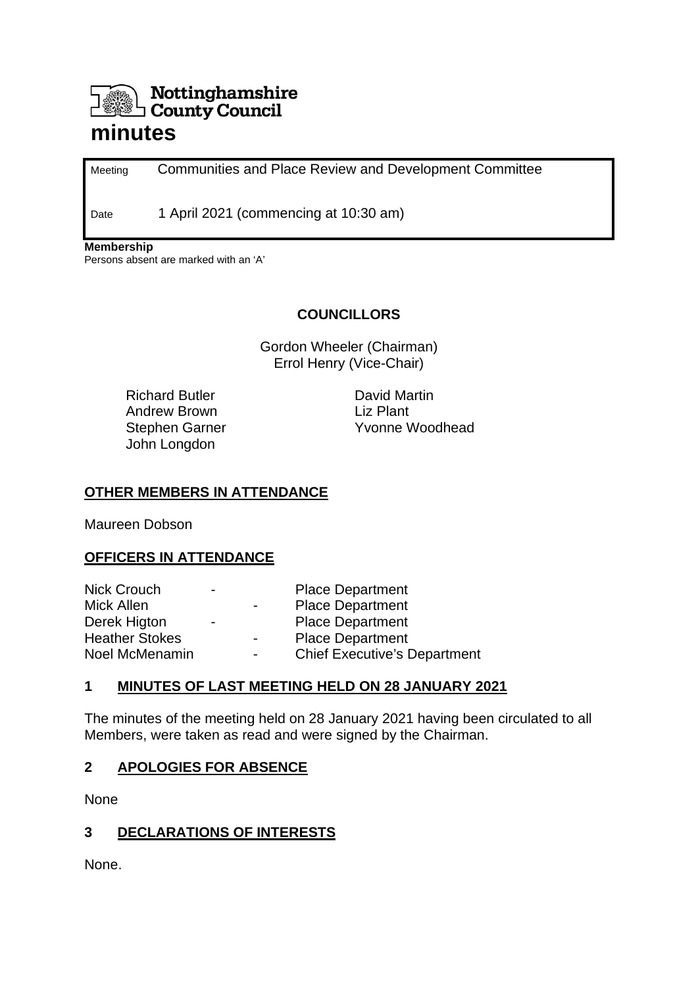# Nottinghamshire County Council

# **minutes**

Meeting Communities and Place Review and Development Committee

Date 1 April 2021 (commencing at 10:30 am)

**Membership**

Persons absent are marked with an 'A'

#### **COUNCILLORS**

Gordon Wheeler (Chairman) Errol Henry (Vice-Chair)

Richard Butler Andrew Brown Stephen Garner John Longdon

David Martin Liz Plant Yvonne Woodhead

#### **OTHER MEMBERS IN ATTENDANCE**

Maureen Dobson

#### **OFFICERS IN ATTENDANCE**

| <b>Nick Crouch</b>    | - |                          | <b>Place Department</b>             |
|-----------------------|---|--------------------------|-------------------------------------|
| Mick Allen            |   | $\overline{\phantom{0}}$ | <b>Place Department</b>             |
| Derek Higton          | - |                          | <b>Place Department</b>             |
| <b>Heather Stokes</b> |   | $\blacksquare$           | <b>Place Department</b>             |
| Noel McMenamin        |   | $\overline{\phantom{0}}$ | <b>Chief Executive's Department</b> |

#### **1 MINUTES OF LAST MEETING HELD ON 28 JANUARY 2021**

The minutes of the meeting held on 28 January 2021 having been circulated to all Members, were taken as read and were signed by the Chairman.

#### **2 APOLOGIES FOR ABSENCE**

None

#### **3 DECLARATIONS OF INTERESTS**

None.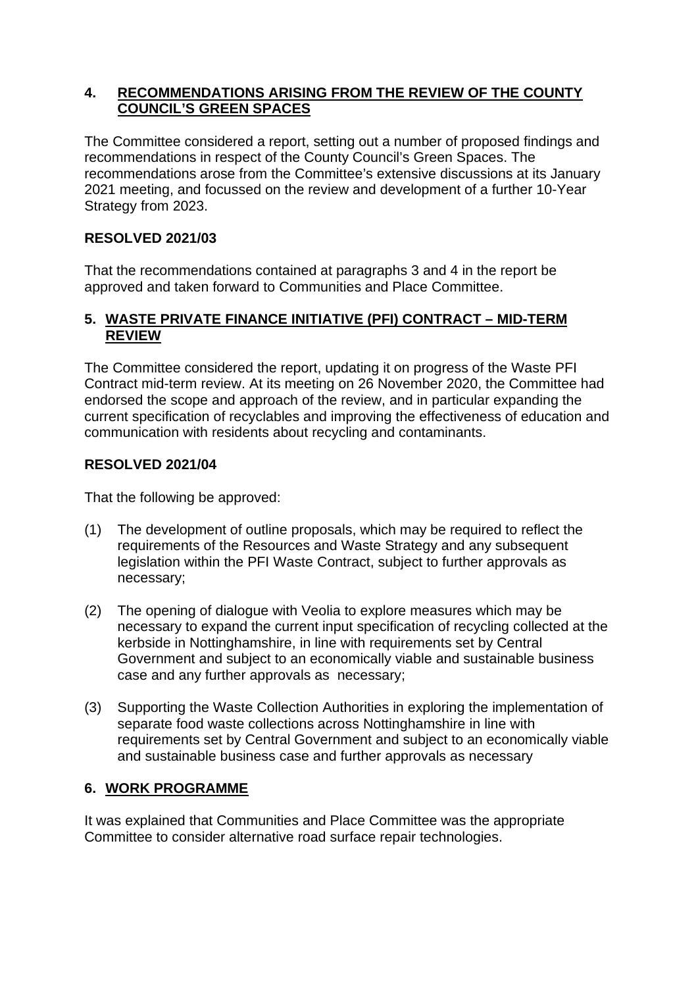#### **4. RECOMMENDATIONS ARISING FROM THE REVIEW OF THE COUNTY COUNCIL'S GREEN SPACES**

The Committee considered a report, setting out a number of proposed findings and recommendations in respect of the County Council's Green Spaces. The recommendations arose from the Committee's extensive discussions at its January 2021 meeting, and focussed on the review and development of a further 10-Year Strategy from 2023.

# **RESOLVED 2021/03**

That the recommendations contained at paragraphs 3 and 4 in the report be approved and taken forward to Communities and Place Committee.

#### **5. WASTE PRIVATE FINANCE INITIATIVE (PFI) CONTRACT – MID-TERM REVIEW**

The Committee considered the report, updating it on progress of the Waste PFI Contract mid-term review. At its meeting on 26 November 2020, the Committee had endorsed the scope and approach of the review, and in particular expanding the current specification of recyclables and improving the effectiveness of education and communication with residents about recycling and contaminants.

# **RESOLVED 2021/04**

That the following be approved:

- (1) The development of outline proposals, which may be required to reflect the requirements of the Resources and Waste Strategy and any subsequent legislation within the PFI Waste Contract, subject to further approvals as necessary;
- (2) The opening of dialogue with Veolia to explore measures which may be necessary to expand the current input specification of recycling collected at the kerbside in Nottinghamshire, in line with requirements set by Central Government and subject to an economically viable and sustainable business case and any further approvals as necessary;
- (3) Supporting the Waste Collection Authorities in exploring the implementation of separate food waste collections across Nottinghamshire in line with requirements set by Central Government and subject to an economically viable and sustainable business case and further approvals as necessary

# **6. WORK PROGRAMME**

It was explained that Communities and Place Committee was the appropriate Committee to consider alternative road surface repair technologies.